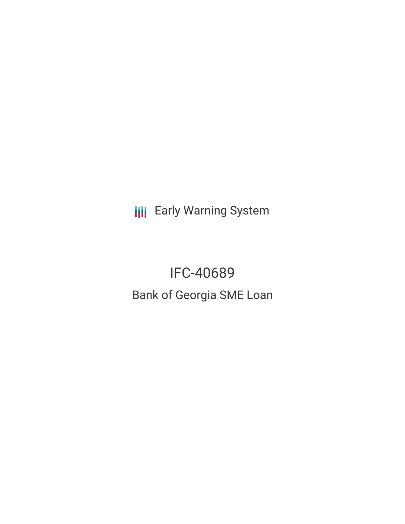**III** Early Warning System

IFC-40689 Bank of Georgia SME Loan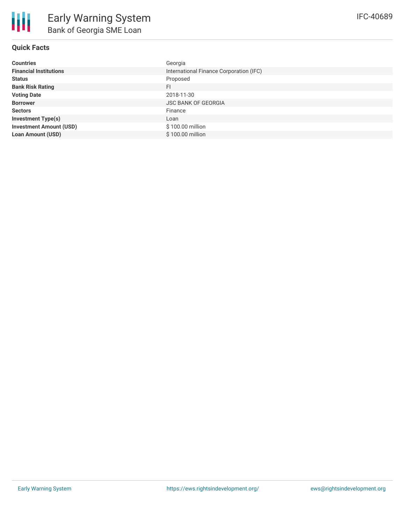## **Quick Facts**

| <b>Countries</b>               | Georgia                                 |
|--------------------------------|-----------------------------------------|
| <b>Financial Institutions</b>  | International Finance Corporation (IFC) |
| <b>Status</b>                  | Proposed                                |
| <b>Bank Risk Rating</b>        | FI                                      |
| <b>Voting Date</b>             | 2018-11-30                              |
| <b>Borrower</b>                | <b>JSC BANK OF GEORGIA</b>              |
| <b>Sectors</b>                 | Finance                                 |
| <b>Investment Type(s)</b>      | Loan                                    |
| <b>Investment Amount (USD)</b> | \$100.00 million                        |
| <b>Loan Amount (USD)</b>       | \$100.00 million                        |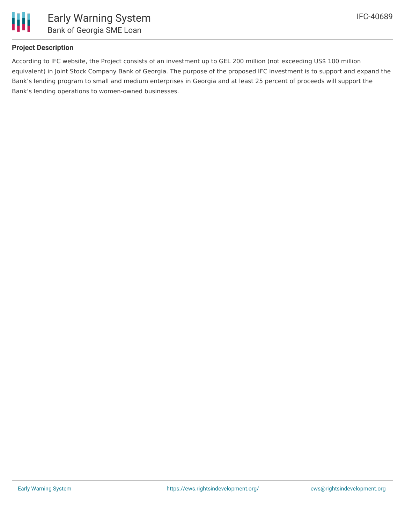

# **Project Description**

According to IFC website, the Project consists of an investment up to GEL 200 million (not exceeding US\$ 100 million equivalent) in Joint Stock Company Bank of Georgia. The purpose of the proposed IFC investment is to support and expand the Bank's lending program to small and medium enterprises in Georgia and at least 25 percent of proceeds will support the Bank's lending operations to women-owned businesses.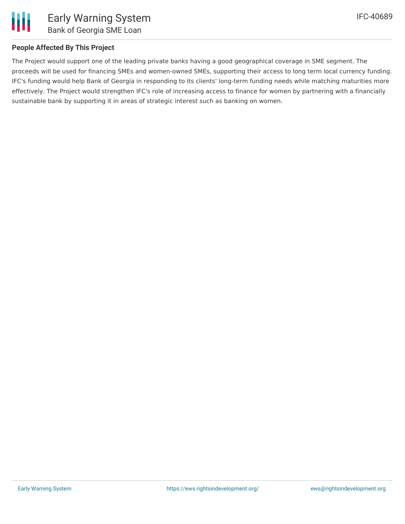

## **People Affected By This Project**

The Project would support one of the leading private banks having a good geographical coverage in SME segment. The proceeds will be used for financing SMEs and women-owned SMEs, supporting their access to long term local currency funding. IFC's funding would help Bank of Georgia in responding to its clients' long-term funding needs while matching maturities more effectively. The Project would strengthen IFC's role of increasing access to finance for women by partnering with a financially sustainable bank by supporting it in areas of strategic interest such as banking on women.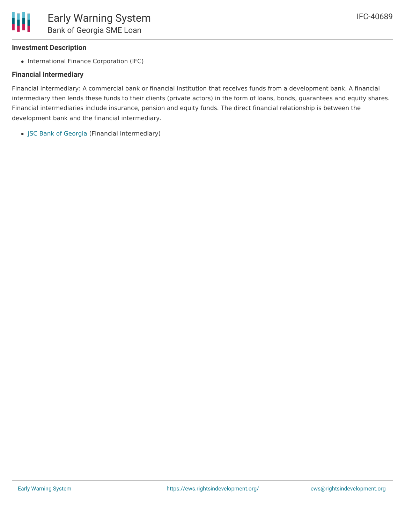#### **Investment Description**

• International Finance Corporation (IFC)

#### **Financial Intermediary**

Financial Intermediary: A commercial bank or financial institution that receives funds from a development bank. A financial intermediary then lends these funds to their clients (private actors) in the form of loans, bonds, guarantees and equity shares. Financial intermediaries include insurance, pension and equity funds. The direct financial relationship is between the development bank and the financial intermediary.

JSC Bank of [Georgia](file:///actor/1061/) (Financial Intermediary)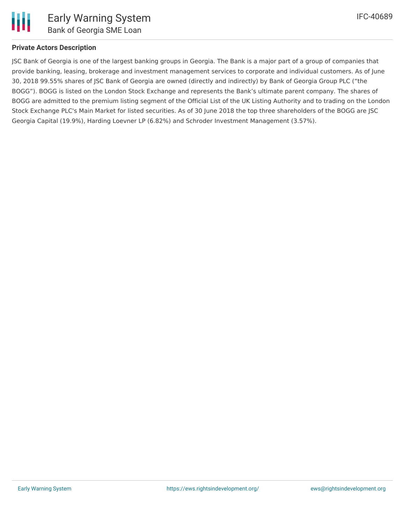

#### **Private Actors Description**

JSC Bank of Georgia is one of the largest banking groups in Georgia. The Bank is a major part of a group of companies that provide banking, leasing, brokerage and investment management services to corporate and individual customers. As of June 30, 2018 99.55% shares of JSC Bank of Georgia are owned (directly and indirectly) by Bank of Georgia Group PLC ("the BOGG"). BOGG is listed on the London Stock Exchange and represents the Bank's ultimate parent company. The shares of BOGG are admitted to the premium listing segment of the Official List of the UK Listing Authority and to trading on the London Stock Exchange PLC's Main Market for listed securities. As of 30 June 2018 the top three shareholders of the BOGG are JSC Georgia Capital (19.9%), Harding Loevner LP (6.82%) and Schroder Investment Management (3.57%).